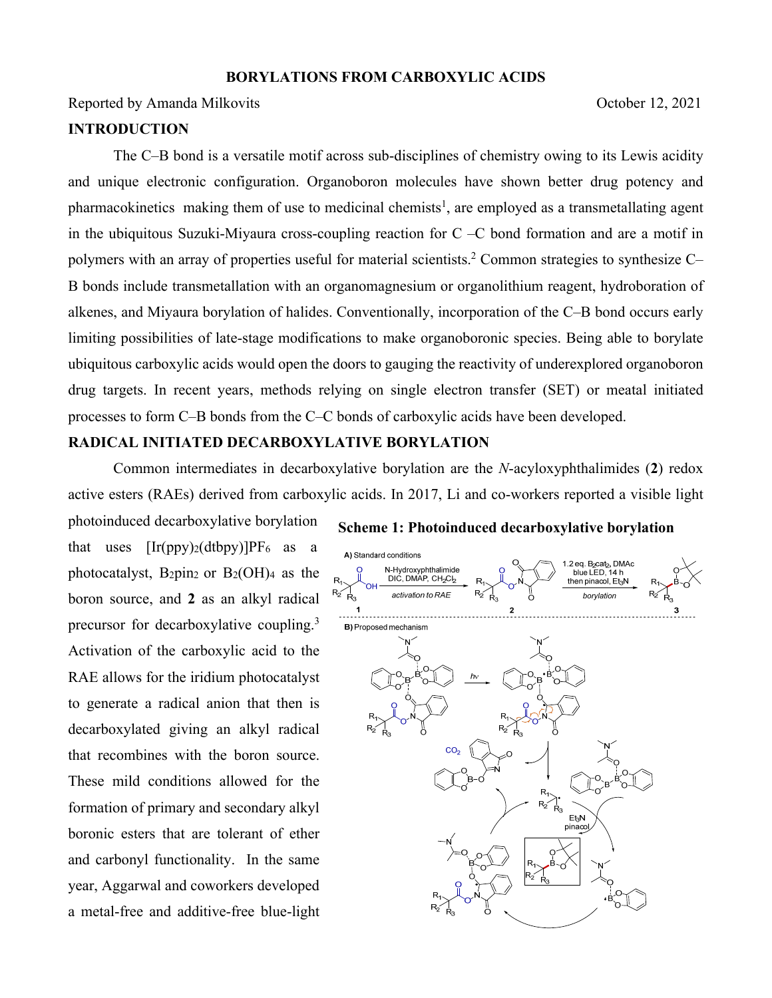### **BORYLATIONS FROM CARBOXYLIC ACIDS**

Reported by Amanda Milkovits Coroler 12, 2021

## **INTRODUCTION**

The C–B bond is a versatile motif across sub-disciplines of chemistry owing to its Lewis acidity and unique electronic configuration. Organoboron molecules have shown better drug potency and pharmacokinetics making them of use to medicinal chemists<sup>1</sup>, are employed as a transmetallating agent in the ubiquitous Suzuki-Miyaura cross-coupling reaction for C –C bond formation and are a motif in polymers with an array of properties useful for material scientists.<sup>2</sup> Common strategies to synthesize C-B bonds include transmetallation with an organomagnesium or organolithium reagent, hydroboration of alkenes, and Miyaura borylation of halides. Conventionally, incorporation of the C–B bond occurs early limiting possibilities of late-stage modifications to make organoboronic species. Being able to borylate ubiquitous carboxylic acids would open the doors to gauging the reactivity of underexplored organoboron drug targets. In recent years, methods relying on single electron transfer (SET) or meatal initiated processes to form C–B bonds from the C–C bonds of carboxylic acids have been developed.

# **RADICAL INITIATED DECARBOXYLATIVE BORYLATION**

Common intermediates in decarboxylative borylation are the *N*-acyloxyphthalimides (**2**) redox active esters (RAEs) derived from carboxylic acids. In 2017, Li and co-workers reported a visible light

photoinduced decarboxylative borylation that uses  $[Ir(ppy)_2(dtbpy)]PF_6$  as a photocatalyst, B2pin2 or  $B_2(OH)_4$  as the boron source, and **2** as an alkyl radical precursor for decarboxylative coupling.<sup>3</sup> Activation of the carboxylic acid to the RAE allows for the iridium photocatalyst to generate a radical anion that then is decarboxylated giving an alkyl radical that recombines with the boron source. These mild conditions allowed for the formation of primary and secondary alkyl boronic esters that are tolerant of ether and carbonyl functionality. In the same year, Aggarwal and coworkers developed a metal-free and additive-free blue-light